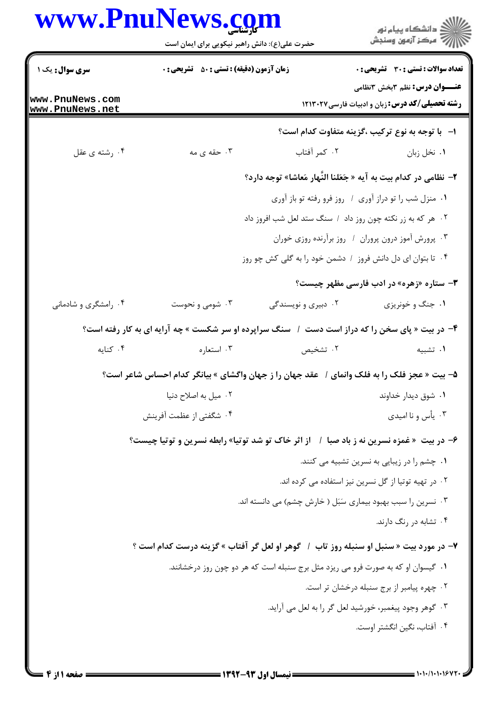## **WWW PnuNews com**

| www.PnuNews.com                    | حضرت علی(ع): دانش راهبر نیکویی برای ایمان است      |                     | ر<br>دانشڪاه پيام نور)<br>ا∛ مرڪز آزمون وسنڊش                                                  |
|------------------------------------|----------------------------------------------------|---------------------|------------------------------------------------------------------------------------------------|
| <b>سری سوال :</b> یک ۱             | <b>زمان آزمون (دقیقه) : تستی : 50 ٪ تشریحی : 0</b> |                     | <b>تعداد سوالات : تستی : 30 ٪ تشریحی : 0</b>                                                   |
| www.PnuNews.com<br>www.PnuNews.net |                                                    |                     | <b>عنـــوان درس:</b> نظم ۳بخش ۳نظامی<br><b>رشته تحصیلی/کد درس:</b> زبان و ادبیات فارسی ۱۲۱۳۰۲۷ |
|                                    |                                                    |                     | ا- با توجه به نوع تركيب ،گزينه متفاوت كدام است؟                                                |
| ۰۴ رشته ی عقل                      | ۰۳ حقه ی مه                                        | ۰۲ کمر آفتاب        | ٠. نخل زبان                                                                                    |
|                                    |                                                    |                     | ۲- نظامی در کدام بیت به آیه « جَعَلنا النَّهار مَعاشا» توجه دارد؟                              |
|                                    |                                                    |                     | ٠. منزل شب را تو دراز آوري / روز فرو رفته تو باز آوري                                          |
|                                    |                                                    |                     | ۰۲ هر که به زر نکته چون روز داد ۱ سنگ ستد لعل شب افروز داد                                     |
|                                    |                                                    |                     | ۰۳ پرورش آموز درون پروران / روز برآرنده روزی خوران                                             |
|                                    |                                                    |                     | ۰۴ تا بتوان ای دل دانش فروز ۱ دشمن خود را به گلی کش چو روز                                     |
|                                    |                                                    |                     | <b>۳</b> - ستاره «زهره» در ادب فارسی مظهر چیست؟                                                |
| ۰۴ رامشگری و شادمانی               | ۰۳ شومی و نحوست                                    | ۰۲ دبیری و نویسندگی | ۰۱ جنگ و خونریزی                                                                               |
|                                    |                                                    |                     | ۴- در بیت « پای سخن را که دراز است دست ۱ سنگ سراپرده او سر شکست » چه آرایه ای به کار رفته است؟ |
| ۰۴ کنایه                           | ۰۳ استعاره                                         | ۲. تشخیص            | ٠١ تشبيه                                                                                       |
|                                    |                                                    |                     | ۵– بیت « عجز فلک را به فلک وانمای /  عقد جهان را ز جهان واگشای » بیانگر کدام احساس شاعر است؟   |
|                                    | ۰۲ میل به اصلاح دنیا                               |                     | ۰۱ شوق دیدار خداوند                                                                            |
|                                    | ۰۴ شگفتی از عظمت آفرینش                            |                     | ۰۳ یأس و نا امیدی                                                                              |
|                                    |                                                    |                     | ۶– در بیت «غمزه نسرین نه ز باد صبا ۱ از اثر خاک تو شد توتیا» رابطه نسرین و توتیا چیست؟         |
|                                    |                                                    |                     | ۰۱ چشم را در زیبایی به نسرین تشبیه می کنند.                                                    |
|                                    |                                                    |                     | ۰۲ در تهیه توتیا از گل نسرین نیز استفاده می کرده اند.                                          |
|                                    |                                                    |                     | ۰۳ نسرین را سبب بهبود بیماری سَبَل ( خارش چشم) می دانسته اند.                                  |
|                                    |                                                    |                     | ۰۴ تشابه در رنگ دارند.                                                                         |
|                                    |                                                    |                     | ۷- در مورد بیت « سنبل او سنبله روز تاب ۱ گوهر او لعل گر آفتاب » گزینه درست کدام است ؟          |
|                                    |                                                    |                     | ۰۱ گیسوان او که به صورت فرو می ریزد مثل برج سنبله است که هر دو چون روز درخشانند.               |
|                                    |                                                    |                     | ٠٢ چهره پيامبر از برج سنبله درخشان تر است.                                                     |
|                                    |                                                    |                     | ۰۳ گوهر وجود پیغمبر، خورشید لعل گر را به لعل می آراید.                                         |
|                                    |                                                    |                     | ۰۴ آفتاب، نگین انگشتر اوست.                                                                    |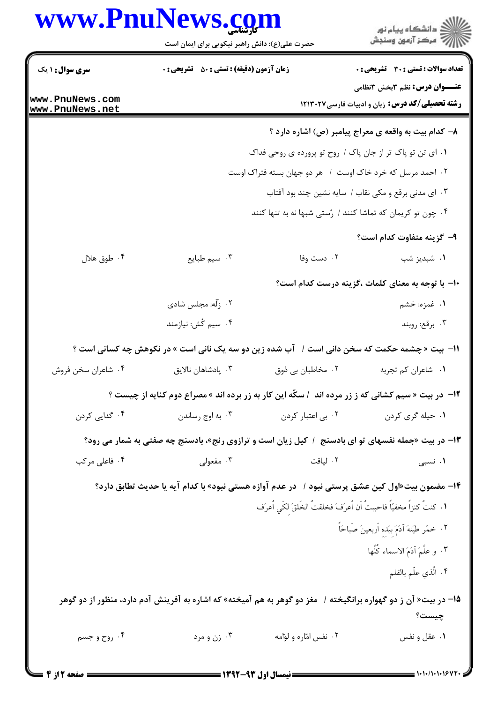|                        | www.PnuNews.com                                                                                                  |                                                                      | ڪ دانشڪاه پيا <sub>م</sub> نور<br>۾ سرڪز آزمون وسنڊش                                           |  |
|------------------------|------------------------------------------------------------------------------------------------------------------|----------------------------------------------------------------------|------------------------------------------------------------------------------------------------|--|
|                        | حضرت علی(ع): دانش راهبر نیکویی برای ایمان است                                                                    |                                                                      |                                                                                                |  |
| <b>سری سوال : ۱ یک</b> | <b>زمان آزمون (دقیقه) : تستی : 50 ٪ تشریحی : 0</b>                                                               |                                                                      | <b>تعداد سوالات : تستی : 30 - تشریحی : 0</b>                                                   |  |
| www.PnuNews.com        |                                                                                                                  |                                                                      | <b>عنـــوان درس:</b> نظم ۳بخش ۳نظامی<br><b>رشته تحصیلی/کد درس:</b> زبان و ادبیات فارسی ۱۲۱۳۰۲۷ |  |
| www.PnuNews.net        |                                                                                                                  |                                                                      |                                                                                                |  |
|                        |                                                                                                                  |                                                                      | ۸- کدام بیت به واقعه ی معراج پیامبر (ص) اشاره دارد ؟                                           |  |
|                        |                                                                                                                  | ٠١ ای تن تو پاک تر از جان پاک / روح تو پرورده ی روحی فداک            |                                                                                                |  |
|                        |                                                                                                                  | ۰۲ احمد مرسل که خرد خاک اوست ۱ هر دو جهان بسته فتراک اوست            |                                                                                                |  |
|                        |                                                                                                                  | ۰۳ ای مدنی برقع و مکی نقاب / سایه نشین چند بود آفتاب                 |                                                                                                |  |
|                        |                                                                                                                  | ۰۴ چون تو کریمان که تماشا کنند / رُستی شبها نه به تنها کنند          |                                                                                                |  |
|                        |                                                                                                                  |                                                                      | ۹- گزینه متفاوت کدام است؟                                                                      |  |
| ۰۴ طوق هلال            | ۰۳ سیم طبایع                                                                                                     | ۰۲ دست وفا                                                           | ۰۱ شبدیز شب                                                                                    |  |
|                        |                                                                                                                  |                                                                      | ∙ا− با توجه به معنای کلمات ،گزینه درست کدام است؟                                               |  |
|                        | ۰۲ زلّه: مجلس شادي                                                                                               |                                                                      | ۱. غمزه: خشم                                                                                   |  |
|                        | ۰۴ سیم کُش: نیازمند                                                                                              |                                                                      | ۰۳ برقع: روبند                                                                                 |  |
|                        | 11-  بیت « چشمه حکمت که سخن دانی است /   آب شده زین دو سه یک نانی است » در نکوهش چه کسانی است ؟                  |                                                                      |                                                                                                |  |
| ۰۴ شاعران سخن فروش     | ۰۳ پادشاهان نالايق                                                                                               | ۰۲ مخاطبان بي ذوق                                                    | ٠١ شاعران كم تجربه                                                                             |  |
|                        | ۱۲- در بیت « سیم کشانی که ز زر مرده اند ۱ سکّه این کار به زر برده اند » مصراع دوم کنایه از چیست ؟                |                                                                      |                                                                                                |  |
| ۰۴ گدایی کردن          |                                                                                                                  | ۰۱ حیله گری کردن مسلسل ۲۰ بی اعتبار کردن مسلسل ۲۰ به اوج رساندن      |                                                                                                |  |
|                        | ۱۳- در بیت «جمله نفسهای تو ای بادسنج ۱ کیل زیان است و ترازوی رنج»، بادسنج چه صفتی به شمار می رود؟                |                                                                      |                                                                                                |  |
| ۰۴ فاعلی مرکب          | ۰۳ مفعولی                                                                                                        | ۲. لياقت                                                             | ۰۱ نسبی                                                                                        |  |
|                        | ۱۴– مضمون بیت«اول کین عشق پرستی نبود /   در عدم آوازه هستی نبود» با کدام آیه یا حدیث تطابق دارد؟                 |                                                                      |                                                                                                |  |
|                        |                                                                                                                  | ١. كنتُ كنزاً مخفيّاً فاحببتُ اَن اُعرَفَ فخلقتُ الخَلقَ لكَي اُعرَف |                                                                                                |  |
|                        |                                                                                                                  |                                                                      | ٠٢ خمّر طيّنهَ آدَمَ بيَده اَربعينَ صَباحَاً ۖ                                                 |  |
|                        |                                                                                                                  |                                                                      | ٣. و علَّمَ آدَمَ الاسماء كُلَّها                                                              |  |
|                        |                                                                                                                  |                                                                      | ۰۴ الَّذي علّم بالقلم                                                                          |  |
|                        | ۱۵– در بیت« آن ز دو گهواره برانگیخته /   مغز دو گوهر به هم آمیخته» که اشاره به آفرینش آدم دارد، منظور از دو گوهر |                                                                      |                                                                                                |  |
|                        |                                                                                                                  |                                                                      | چیست؟                                                                                          |  |
| ۰۴ روح و جسم           | ۰۳ زن و مرد                                                                                                      | ۰۲ نفس امّاره و لوّامه                                               | ۰۱ عقل و نفس                                                                                   |  |
|                        |                                                                                                                  |                                                                      |                                                                                                |  |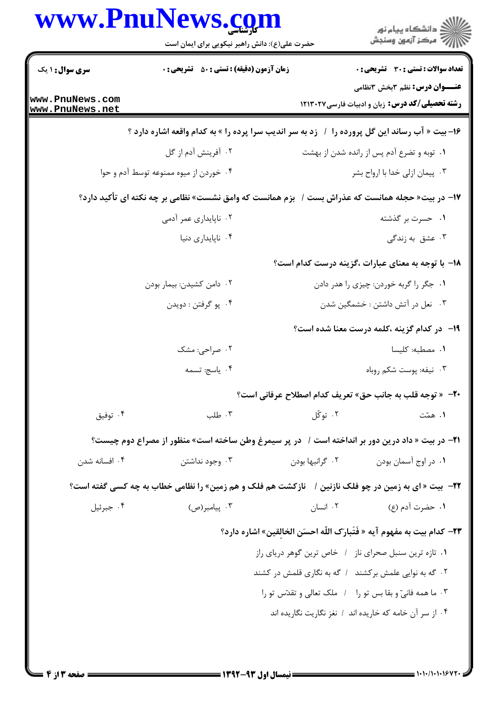|                           | www.PnuNews.com<br>حضرت علی(ع): دانش راهبر نیکویی برای ایمان است                                    |                                  | ر<br>دانشڪاه پيام نور<br>ا∛ مرڪز آزمون وسنڊش                                    |
|---------------------------|-----------------------------------------------------------------------------------------------------|----------------------------------|---------------------------------------------------------------------------------|
| سری سوال: ۱ یک            | <b>زمان آزمون (دقیقه) : تستی : 50 ٪ تشریحی : 0</b>                                                  |                                  | <b>تعداد سوالات : تستی : 30 ٪ تشریحی : 0</b>                                    |
| www.PnuNews.com           |                                                                                                     |                                  | <b>عنـــوان درس:</b> نظم 3بخش 2نظامی                                            |
| www.PnuNews.net           |                                                                                                     |                                  | رشته تحصیلی/کد درس: زبان و ادبیات فارسی ۱۲۱۳۰۲۷                                 |
|                           | ۱۶- بیت « آب رساند این گل پرورده را ۱ زد به سر اندیب سرا پرده را » به کدام واقعه اشاره دارد ؟       |                                  |                                                                                 |
|                           | ۰۲ آفرینش آدم از گل                                                                                 |                                  | ۰۱ توبه و تضرع آدم پس از رانده شدن از بهشت                                      |
|                           | ۰۴ خوردن از میوه ممنوعه توسط آدم و حوا                                                              |                                  | ۰۳ پیمان ازلی خدا با ارواح بشر                                                  |
|                           | ۱۷– در بیت« حجله همانست که عذراش بست /  بزم همانست که وامق نشست» نظامی بر چه نکته ای تأکید دارد؟    |                                  |                                                                                 |
|                           | ۰۲ ناپایداری عمر آدمی                                                                               |                                  | ۰۱ حسرت بر گذشته                                                                |
|                           | ۰۴ ناپایداری دنیا                                                                                   |                                  | ۰۳ عشق به زندگی                                                                 |
|                           |                                                                                                     |                                  | ۱۸– با توجه به معنای عبارات ،گزینه درست کدام است؟                               |
| ۰۲ دامن کشیدن: بیمار بودن |                                                                                                     |                                  | ٠١. جگر را گربه خوردن: چيزي را هدر دادن                                         |
|                           | ۰۴ پو گرفتن : دويدن                                                                                 | ۰۳ نعل در آتش داشتن : خشمگین شدن |                                                                                 |
|                           |                                                                                                     |                                  | 1۹- در کدام گزینه ،کلمه درست معنا شده است؟                                      |
|                           | ۰۲ صراحی: مشک                                                                                       |                                  | <b>۱.</b> مصطبه: کلیسا                                                          |
|                           | ۰۴ ياسج: تسمه                                                                                       |                                  | ۰۳ نیفه: پوست شکم روباه                                                         |
|                           |                                                                                                     |                                  | <b>70- « توجه قلب به جانب حق» تعريف كدام اصطلاح عرفاني است؟</b>                 |
| ۰۴ توفيق                  | ۰۳ طلب                                                                                              | ۰۲ توڭل                          | ۰۱ همّت                                                                         |
|                           | 21− در بیت « داد درین دور بر انداخته است /   در پر سیمرغ وطن ساخته است» منظور از مصراع دوم چیست؟    |                                  |                                                                                 |
| ۰۴ افسانه شدن             | ۰۳ وجود نداشتن                                                                                      | ۰۲ گرانبها بودن                  | ۰۱ در اوج آسمان بودن                                                            |
|                           | 22- بیت « ای به زمین در چو فلک نازنین / آنازکشت هم فلک و هم زمین» را نظامی خطاب به چه کسی گفته است؟ |                                  |                                                                                 |
| ۰۴ جبرئيل                 | ۰۳ پیامبر(ص)                                                                                        | ۰۲ انسان                         | ١. حضرت آدم (ع)                                                                 |
|                           |                                                                                                     |                                  | <b>٢٣</b> - كدام بيت به مفهوم آيه « فَتَبارَك اللّه احسَن الخالقين» اشاره دارد؟ |
|                           |                                                                                                     |                                  | ٠١ تازه ترين سنبل صحراى ناز ١ خاص ترين گوهر درياى راز                           |
|                           |                                                                                                     |                                  | ۰۲ گه به نوایی علمش برکشند ۱ گه به نگاری قلمش در کشند                           |
|                           |                                                                                                     |                                  | ٠٣ ما همه فانيّ و بقا بس تو را ملك تعالى وتقدّس تو را                           |
|                           |                                                                                                     |                                  | ۰۴ از سر آن خامه که خاریده اند / نغز نگاریت نگاریده اند                         |